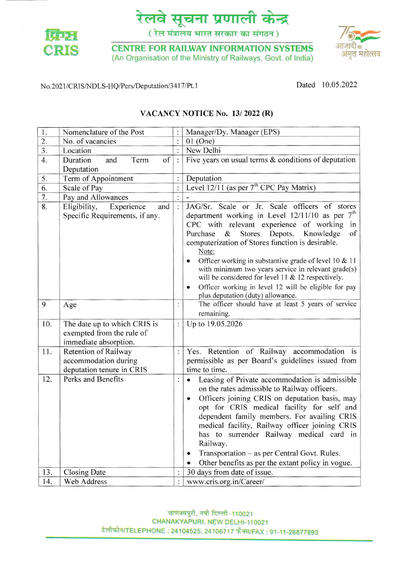



( रेल मंत्रालय भारत सरकार का संगठन)

**CENTRE FOR RAILWAY INFORMATION SYSTEMS** (An Organisation of the Ministry of Railways, Govt. of India)



#### No.2021/CRIS/NDLS-HQ/Pers/Deputation/3417/Pt.1

Dated 10.05.2022

| 1.               | Nomenclature of the Post                                                           |                      | Manager/Dy. Manager (EPS)                                                                                                                                                                                                                                                                                                                                                                                                                                                                                                                                   |
|------------------|------------------------------------------------------------------------------------|----------------------|-------------------------------------------------------------------------------------------------------------------------------------------------------------------------------------------------------------------------------------------------------------------------------------------------------------------------------------------------------------------------------------------------------------------------------------------------------------------------------------------------------------------------------------------------------------|
| $\overline{2}$ . | No. of vacancies                                                                   | $\vdots$             | $01$ (One)                                                                                                                                                                                                                                                                                                                                                                                                                                                                                                                                                  |
| 3.               | Location                                                                           | $\vdots$             | New Delhi                                                                                                                                                                                                                                                                                                                                                                                                                                                                                                                                                   |
| 4.               | Duration<br>of<br>Term<br>and<br>Deputation                                        | t                    | Five years on usual terms $\&$ conditions of deputation                                                                                                                                                                                                                                                                                                                                                                                                                                                                                                     |
| 5.               | Term of Appointment                                                                |                      | Deputation                                                                                                                                                                                                                                                                                                                                                                                                                                                                                                                                                  |
| 6.               | Scale of Pay                                                                       | :                    | Level $12/11$ (as per $7th$ CPC Pay Matrix)                                                                                                                                                                                                                                                                                                                                                                                                                                                                                                                 |
| 7.               | Pay and Allowances                                                                 | $\ddot{\cdot}$       |                                                                                                                                                                                                                                                                                                                                                                                                                                                                                                                                                             |
| 8.               | Eligibility,<br>Experience<br>and<br>Specific Requirements, if any.                | Ì,                   | JAG/Sr. Scale or Jr. Scale officers of stores<br>7 <sup>th</sup><br>department working in Level 12/11/10 as per<br>CPC with relevant experience of working<br>in<br>Purchase &<br>Stores<br>Depots.<br>Knowledge<br>of<br>computerization of Stores function is desirable.<br>Note:<br>Officer working in substantive grade of level 10 & 11<br>with minimum two years service in relevant grade(s)<br>will be considered for level 11 & 12 respectively.<br>Officer working in level 12 will be eligible for pay<br>٠<br>plus deputation (duty) allowance. |
| 9                | Age                                                                                | $\ddot{\phantom{a}}$ | The officer should have at least 5 years of service<br>remaining.                                                                                                                                                                                                                                                                                                                                                                                                                                                                                           |
| 10.              | The date up to which CRIS is<br>exempted from the rule of<br>immediate absorption. | :                    | Up to 19.05.2026                                                                                                                                                                                                                                                                                                                                                                                                                                                                                                                                            |
| 11.              | Retention of Railway<br>accommodation during<br>deputation tenure in CRIS          |                      | Yes. Retention of Railway accommodation is<br>permissible as per Board's guidelines issued from<br>time to time.                                                                                                                                                                                                                                                                                                                                                                                                                                            |
| 12.              | Perks and Benefits                                                                 |                      | Leasing of Private accommodation is admissible<br>$\bullet$<br>on the rates admissible to Railway officers.<br>Officers joining CRIS on deputation basis, may<br>$\bullet$<br>opt for CRIS medical facility for self and<br>dependent family members. For availing CRIS<br>medical facility, Railway officer joining CRIS<br>has to surrender Railway medical card in<br>Railway.<br>Transportation – as per Central Govt. Rules.<br>٠<br>Other benefits as per the extant policy in vogue.<br>$\bullet$                                                    |
| 13.              | <b>Closing Date</b>                                                                | $\vdots$             | 30 days from date of issue.                                                                                                                                                                                                                                                                                                                                                                                                                                                                                                                                 |
| 14.              | Web Address                                                                        |                      | www.cris.org.in/Career/                                                                                                                                                                                                                                                                                                                                                                                                                                                                                                                                     |

### VACANCY NOTICE No. 13/2022 (R)

चाणक्यपुरी, नयी दिल्ली-110021 CHANAKYAPURI, NEW DELHI-110021 टेलीफोन/TELEPHONE : 24104525, 24106717 फैक्स/FAX : 91-11-26877893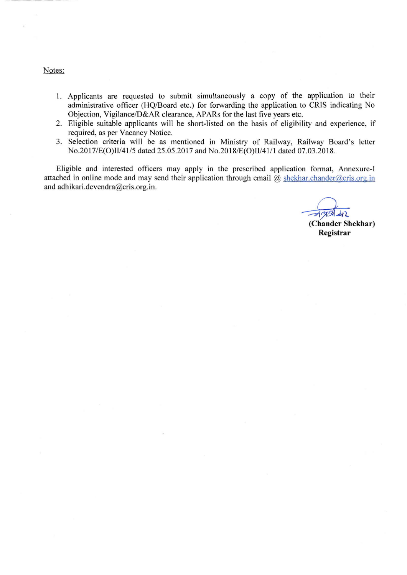Notes:

- l. Applicants are requested to submit simultaneously a copy of the application to their administrative officer (HQ/Board etc.) for forwarding the application to CRIS indicating No Objection, Vigilance/D&AR clearance, APARs for the last five years etc.
- 2. Eligible suitable applicants will be short-listed on the basis of eligibility and experience, if required, as per Vacancy Notice.
- 3. Selection criteria will be as mentioned in Ministry of Railway, Railway Board's letter No.2017/E(O)II/41/5 dated 25.05.2017 and No.2018/E(O)II/41/1 dated 07.03.2018.

Eligible and interested officers may apply in the prescribed application format, Annexure-I attached in online mode and may send their application through email  $\omega$  shekhar.chander $\omega$ cris.org.in and adhikari.devendra@cris.org. in.

 $799142$ 

(Chander Shekhar) Registrar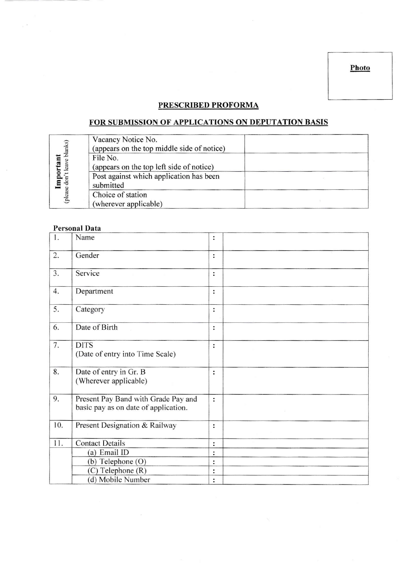Photo

# PRESCRIBED PROFORMA

# FOR SUBMISSION OF APPLICATIONS ON DEPUTATION BASIS

| blanks)       | Vacancy Notice No.<br>(appears on the top middle side of notice) |  |
|---------------|------------------------------------------------------------------|--|
|               | File No.                                                         |  |
| 't leave<br>Ξ | (appears on the top left side of notice)                         |  |
| Import<br>don | Post against which application has been                          |  |
|               | submitted                                                        |  |
| (please       | Choice of station                                                |  |
|               | (wherever applicable)                                            |  |

#### Personal Data

| 1.  | Name                                                                        | :              |  |
|-----|-----------------------------------------------------------------------------|----------------|--|
| 2.  | Gender                                                                      | :              |  |
| 3.  | Service                                                                     | :              |  |
| 4.  | Department                                                                  | :              |  |
| 5.  | Category                                                                    | :              |  |
| 6.  | Date of Birth                                                               | :              |  |
| 7.  | <b>DITS</b><br>(Date of entry into Time Scale)                              | $\ddot{\cdot}$ |  |
| 8.  | Date of entry in Gr. B<br>(Wherever applicable)                             | :              |  |
| 9.  | Present Pay Band with Grade Pay and<br>basic pay as on date of application. | $\ddot{\cdot}$ |  |
| 10. | Present Designation & Railway                                               | :              |  |
| 11. | <b>Contact Details</b>                                                      | :              |  |
|     | (a) Email ID                                                                | :              |  |
|     | (b) Telephone (O)                                                           | :              |  |
|     | (C) Telephone (R)                                                           | :              |  |
|     | (d) Mobile Number                                                           | :              |  |